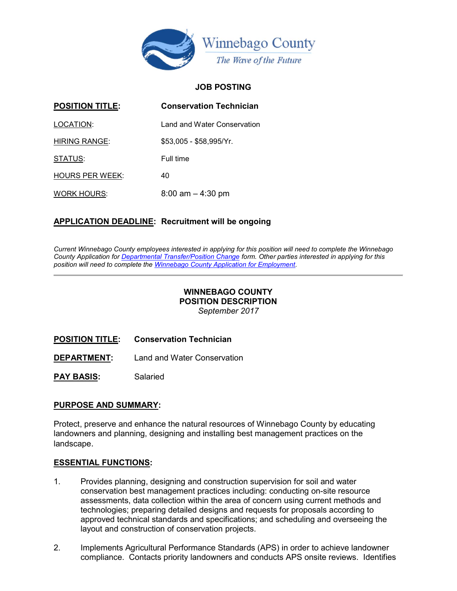

#### JOB POSTING

| <b>POSITION TITLE:</b> | <b>Conservation Technician</b> |
|------------------------|--------------------------------|
| LOCATION:              | Land and Water Conservation    |
| <b>HIRING RANGE:</b>   | $$53,005 - $58,995/Yr.$        |
| STATUS:                | Full time                      |
| <b>HOURS PER WEEK:</b> | 40                             |
| <b>WORK HOURS:</b>     | $8:00$ am $-4:30$ pm           |

### APPLICATION DEADLINE: Recruitment will be ongoing

Current Winnebago County employees interested in applying for this position will need to complete the Winnebago County Application for Departmental Transfer/Position Change form. Other parties interested in applying for this position will need to complete the Winnebago County Application for Employment.

#### WINNEBAGO COUNTY POSITION DESCRIPTION September 2017

POSITION TITLE: Conservation Technician

DEPARTMENT: Land and Water Conservation

PAY BASIS: Salaried

#### PURPOSE AND SUMMARY:

Protect, preserve and enhance the natural resources of Winnebago County by educating landowners and planning, designing and installing best management practices on the landscape.

#### ESSENTIAL FUNCTIONS:

- 1. Provides planning, designing and construction supervision for soil and water conservation best management practices including: conducting on-site resource assessments, data collection within the area of concern using current methods and technologies; preparing detailed designs and requests for proposals according to approved technical standards and specifications; and scheduling and overseeing the layout and construction of conservation projects.
- 2. Implements Agricultural Performance Standards (APS) in order to achieve landowner compliance. Contacts priority landowners and conducts APS onsite reviews. Identifies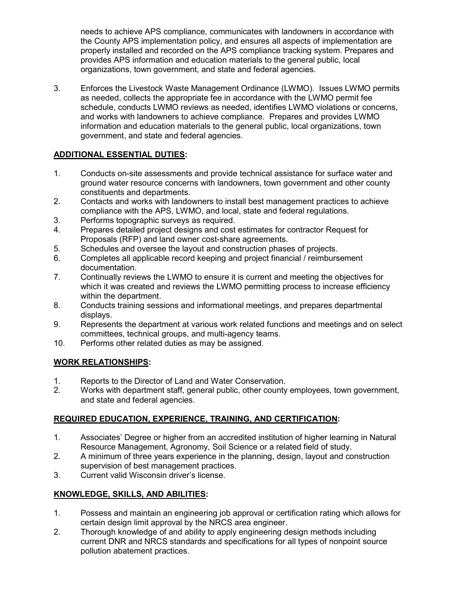needs to achieve APS compliance, communicates with landowners in accordance with the County APS implementation policy, and ensures all aspects of implementation are properly installed and recorded on the APS compliance tracking system. Prepares and provides APS information and education materials to the general public, local organizations, town government, and state and federal agencies.

3. Enforces the Livestock Waste Management Ordinance (LWMO). Issues LWMO permits as needed, collects the appropriate fee in accordance with the LWMO permit fee schedule, conducts LWMO reviews as needed, identifies LWMO violations or concerns, and works with landowners to achieve compliance. Prepares and provides LWMO information and education materials to the general public, local organizations, town government, and state and federal agencies.

# ADDITIONAL ESSENTIAL DUTIES:

- 1. Conducts on-site assessments and provide technical assistance for surface water and ground water resource concerns with landowners, town government and other county constituents and departments.
- 2. Contacts and works with landowners to install best management practices to achieve compliance with the APS, LWMO, and local, state and federal regulations.
- 3. Performs topographic surveys as required.
- 4. Prepares detailed project designs and cost estimates for contractor Request for Proposals (RFP) and land owner cost-share agreements.
- 5. Schedules and oversee the layout and construction phases of projects.
- 6. Completes all applicable record keeping and project financial / reimbursement documentation.
- 7. Continually reviews the LWMO to ensure it is current and meeting the objectives for which it was created and reviews the LWMO permitting process to increase efficiency within the department.
- 8. Conducts training sessions and informational meetings, and prepares departmental displays.
- 9. Represents the department at various work related functions and meetings and on select committees, technical groups, and multi-agency teams.
- 10. Performs other related duties as may be assigned.

# WORK RELATIONSHIPS:

- 1. Reports to the Director of Land and Water Conservation.
- 2. Works with department staff, general public, other county employees, town government, and state and federal agencies.

# REQUIRED EDUCATION, EXPERIENCE, TRAINING, AND CERTIFICATION:

- 1. Associates' Degree or higher from an accredited institution of higher learning in Natural Resource Management, Agronomy, Soil Science or a related field of study.
- 2. A minimum of three years experience in the planning, design, layout and construction supervision of best management practices.
- 3. Current valid Wisconsin driver's license.

# KNOWLEDGE, SKILLS, AND ABILITIES:

- 1. Possess and maintain an engineering job approval or certification rating which allows for certain design limit approval by the NRCS area engineer.
- 2. Thorough knowledge of and ability to apply engineering design methods including current DNR and NRCS standards and specifications for all types of nonpoint source pollution abatement practices.